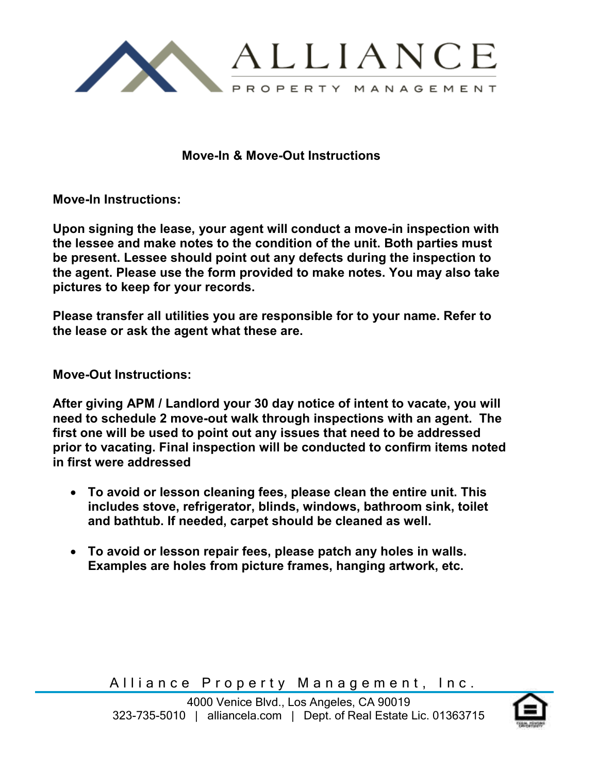

**Move-In & Move-Out Instructions** 

**Move-In Instructions:** 

**Upon signing the lease, your agent will conduct a move-in inspection with the lessee and make notes to the condition of the unit. Both parties must be present. Lessee should point out any defects during the inspection to the agent. Please use the form provided to make notes. You may also take pictures to keep for your records.** 

**Please transfer all utilities you are responsible for to your name. Refer to the lease or ask the agent what these are.** 

**Move-Out Instructions:** 

**After giving APM / Landlord your 30 day notice of intent to vacate, you will need to schedule 2 move-out walk through inspections with an agent. The first one will be used to point out any issues that need to be addressed prior to vacating. Final inspection will be conducted to confirm items noted in first were addressed** 

- **To avoid or lesson cleaning fees, please clean the entire unit. This includes stove, refrigerator, blinds, windows, bathroom sink, toilet and bathtub. If needed, carpet should be cleaned as well.**
- **To avoid or lesson repair fees, please patch any holes in walls. Examples are holes from picture frames, hanging artwork, etc.**

Alliance Property Management, Inc.

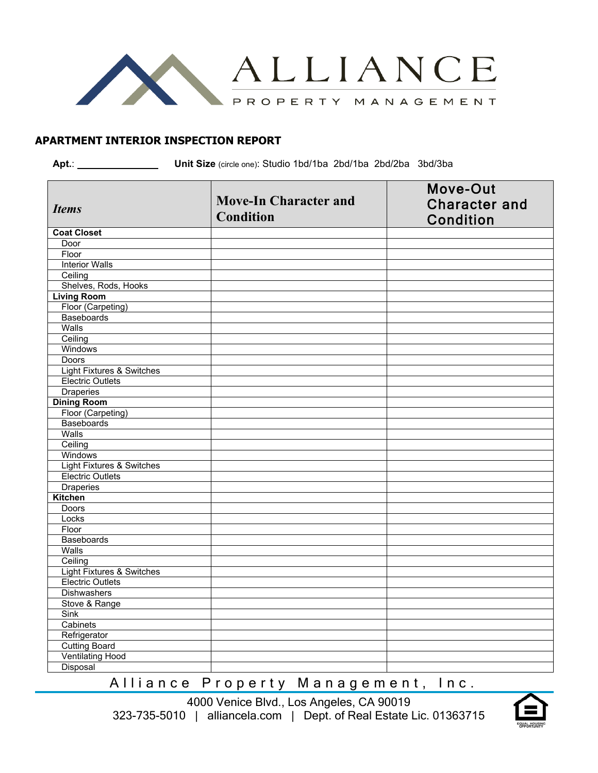

#### **APARTMENT INTERIOR INSPECTION REPORT**

**Apt.**: **Unit Size** (circle one): Studio 1bd/1ba 2bd/1ba 2bd/2ba 3bd/3ba

|                                      | <b>Move-In Character and</b> | Move-Out                                 |
|--------------------------------------|------------------------------|------------------------------------------|
| <b>Items</b>                         | <b>Condition</b>             | <b>Character and</b><br><b>Condition</b> |
| <b>Coat Closet</b>                   |                              |                                          |
| Door                                 |                              |                                          |
| Floor                                |                              |                                          |
| <b>Interior Walls</b>                |                              |                                          |
| Ceiling                              |                              |                                          |
| Shelves, Rods, Hooks                 |                              |                                          |
| <b>Living Room</b>                   |                              |                                          |
| Floor (Carpeting)                    |                              |                                          |
| <b>Baseboards</b>                    |                              |                                          |
| Walls                                |                              |                                          |
| Ceiling                              |                              |                                          |
| Windows                              |                              |                                          |
| Doors                                |                              |                                          |
| <b>Light Fixtures &amp; Switches</b> |                              |                                          |
| <b>Electric Outlets</b>              |                              |                                          |
| <b>Draperies</b>                     |                              |                                          |
| <b>Dining Room</b>                   |                              |                                          |
| Floor (Carpeting)                    |                              |                                          |
| <b>Baseboards</b>                    |                              |                                          |
| Walls                                |                              |                                          |
| Ceiling                              |                              |                                          |
| Windows                              |                              |                                          |
| <b>Light Fixtures &amp; Switches</b> |                              |                                          |
| <b>Electric Outlets</b>              |                              |                                          |
| <b>Draperies</b>                     |                              |                                          |
| Kitchen                              |                              |                                          |
| <b>Doors</b>                         |                              |                                          |
| Locks                                |                              |                                          |
| Floor                                |                              |                                          |
| <b>Baseboards</b>                    |                              |                                          |
| Walls                                |                              |                                          |
| Ceiling                              |                              |                                          |
| <b>Light Fixtures &amp; Switches</b> |                              |                                          |
| <b>Electric Outlets</b>              |                              |                                          |
| <b>Dishwashers</b>                   |                              |                                          |
| Stove & Range                        |                              |                                          |
| Sink                                 |                              |                                          |
| Cabinets                             |                              |                                          |
| Refrigerator                         |                              |                                          |
| <b>Cutting Board</b>                 |                              |                                          |
| <b>Ventilating Hood</b>              |                              |                                          |
| Disposal                             |                              |                                          |

Alliance Property Management, Inc.

4000 Venice Blvd., Los Angeles, CA 90019 323-735-5010 | alliancela.com | Dept. of Real Estate Lic. 01363715

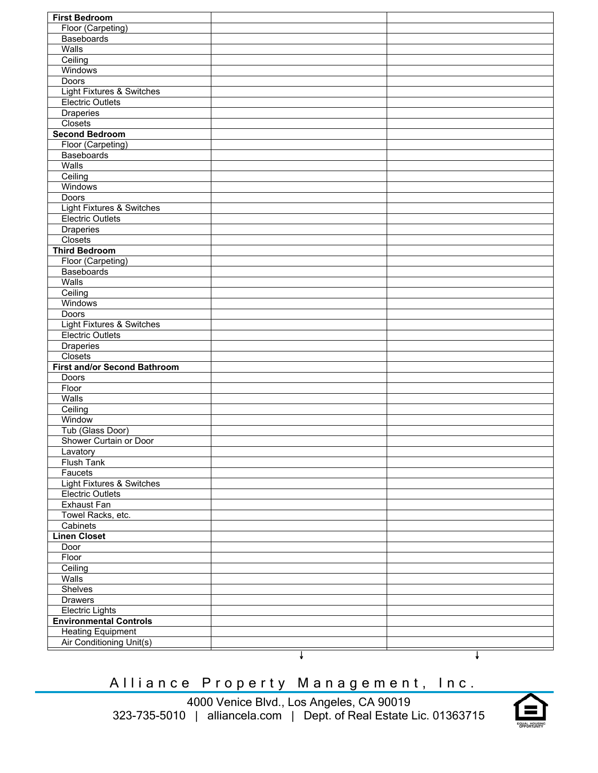| <b>First Bedroom</b>                       |  |
|--------------------------------------------|--|
| Floor (Carpeting)                          |  |
| Baseboards                                 |  |
| Walls                                      |  |
| Ceiling                                    |  |
| Windows                                    |  |
| <b>Doors</b>                               |  |
| <b>Light Fixtures &amp; Switches</b>       |  |
| <b>Electric Outlets</b>                    |  |
| <b>Draperies</b>                           |  |
| Closets                                    |  |
| <b>Second Bedroom</b>                      |  |
| Floor (Carpeting)                          |  |
| Baseboards                                 |  |
| Walls                                      |  |
| Ceiling                                    |  |
| Windows                                    |  |
| <b>Doors</b>                               |  |
| Light Fixtures & Switches                  |  |
| <b>Electric Outlets</b>                    |  |
| <b>Draperies</b>                           |  |
| Closets                                    |  |
| <b>Third Bedroom</b>                       |  |
| Floor (Carpeting)                          |  |
| <b>Baseboards</b>                          |  |
| Walls                                      |  |
| Ceiling                                    |  |
| Windows                                    |  |
| <b>Doors</b>                               |  |
| <b>Light Fixtures &amp; Switches</b>       |  |
| <b>Electric Outlets</b>                    |  |
| <b>Draperies</b>                           |  |
| Closets                                    |  |
| <b>First and/or Second Bathroom</b>        |  |
| Doors                                      |  |
| Floor<br>Walls                             |  |
|                                            |  |
| Ceiling                                    |  |
| Window                                     |  |
| Tub (Glass Door)<br>Shower Curtain or Door |  |
|                                            |  |
| Lavatory<br>Flush Tank                     |  |
| Faucets                                    |  |
| <b>Light Fixtures &amp; Switches</b>       |  |
| <b>Electric Outlets</b>                    |  |
| <b>Exhaust Fan</b>                         |  |
| Towel Racks, etc.                          |  |
| Cabinets                                   |  |
| <b>Linen Closet</b>                        |  |
| Door                                       |  |
| Floor                                      |  |
| Ceiling                                    |  |
| Walls                                      |  |
| Shelves                                    |  |
| <b>Drawers</b>                             |  |
| <b>Electric Lights</b>                     |  |
| <b>Environmental Controls</b>              |  |
| <b>Heating Equipment</b>                   |  |
| Air Conditioning Unit(s)                   |  |
|                                            |  |

# Alliance Property Management, Inc.

4000 Venice Blvd., Los Angeles, CA 90019 323-735-5010 | alliancela.com | Dept. of Real Estate Lic. 01363715

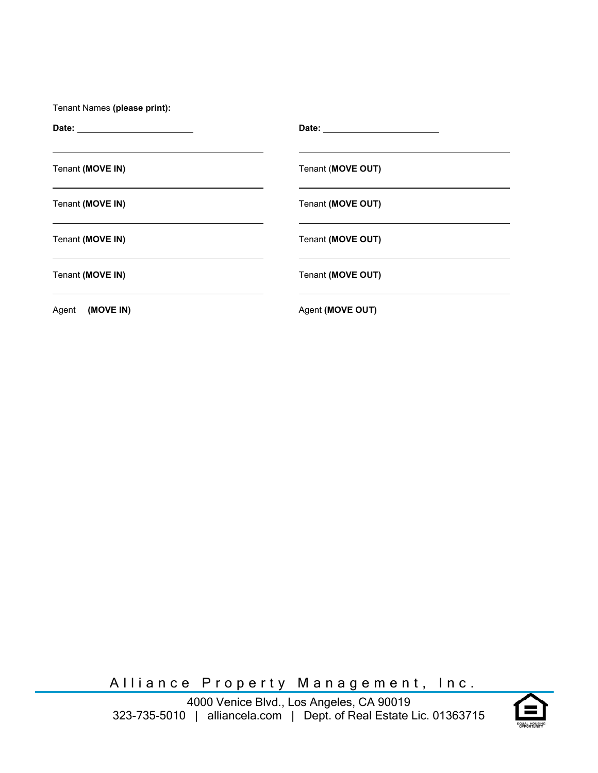| Tenant (MOVE IN) | Tenant (MOVE OUT) |
|------------------|-------------------|
| Tenant (MOVE IN) | Tenant (MOVE OUT) |
| Tenant (MOVE IN) | Tenant (MOVE OUT) |
| Tenant (MOVE IN) | Tenant (MOVE OUT) |
| Agent (MOVE IN)  | Agent (MOVE OUT)  |

Alliance Property Management, Inc.